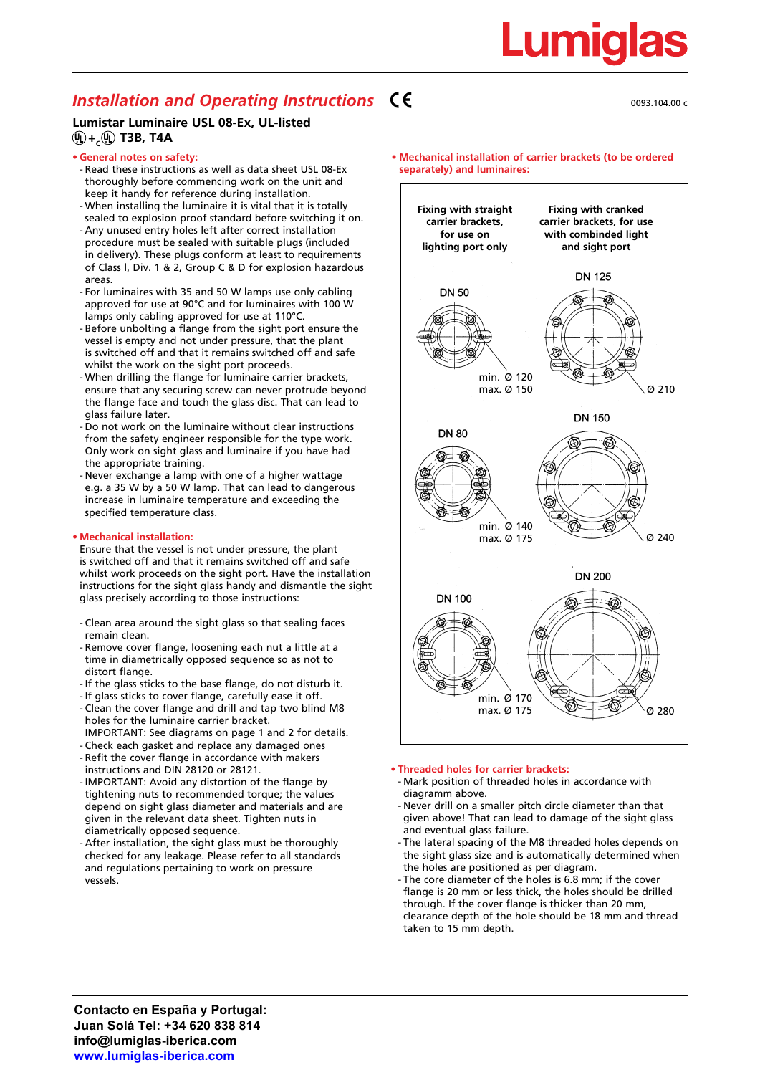## *Installation and Operating Instructions*

**Lumistar Luminaire USL 08-Ex, UL-listed (4)** + (4) T3B, T4A

#### **• General notes on safety:**

- Read these instructions as well as data sheet USL 08-Ex thoroughly before commencing work on the unit and keep it handy for reference during installation.
- When installing the luminaire it is vital that it is totally sealed to explosion proof standard before switching it on. - Any unused entry holes left after correct installation
- procedure must be sealed with suitable plugs (included in delivery). These plugs conform at least to requirements of Class l, Div. 1 & 2, Group C & D for explosion hazardous areas.
- For luminaires with 35 and 50 W lamps use only cabling approved for use at 90°C and for luminaires with 100 W lamps only cabling approved for use at 110°C.
- Before unbolting a flange from the sight port ensure the vessel is empty and not under pressure, that the plant is switched off and that it remains switched off and safe whilst the work on the sight port proceeds.
- When drilling the flange for luminaire carrier brackets, ensure that any securing screw can never protrude beyond the flange face and touch the glass disc. That can lead to glass failure later.
- Do not work on the luminaire without clear instructions from the safety engineer responsible for the type work. Only work on sight glass and luminaire if you have had the appropriate training.
- Never exchange a lamp with one of a higher wattage e.g. a 35 W by a 50 W lamp. That can lead to dangerous increase in luminaire temperature and exceeding the specified temperature class.

#### **• Mechanical installation:**

Ensure that the vessel is not under pressure, the plant is switched off and that it remains switched off and safe whilst work proceeds on the sight port. Have the installation instructions for the sight glass handy and dismantle the sight glass precisely according to those instructions:

- Clean area around the sight glass so that sealing faces remain clean.
- Remove cover flange, loosening each nut a little at a time in diametrically opposed sequence so as not to distort flange.
- If the glass sticks to the base flange, do not disturb it.
- If glass sticks to cover flange, carefully ease it off.
- Clean the cover flange and drill and tap two blind M8 holes for the luminaire carrier bracket.
- IMPORTANT: See diagrams on page 1 and 2 for details.
- Check each gasket and replace any damaged ones
- Refit the cover flange in accordance with makers instructions and DIN 28120 or 28121.
- IMPORTANT: Avoid any distortion of the flange by tightening nuts to recommended torque; the values depend on sight glass diameter and materials and are given in the relevant data sheet. Tighten nuts in diametrically opposed sequence.
- After installation, the sight glass must be thoroughly checked for any leakage. Please refer to all standards and regulations pertaining to work on pressure vessels.

**• Mechanical installation of carrier brackets (to be ordered separately) and luminaires:**

Lumigla



#### **• Threaded holes for carrier brackets:**

- Mark position of threaded holes in accordance with diagramm above.
- Never drill on a smaller pitch circle diameter than that given above! That can lead to damage of the sight glass and eventual glass failure.
- The lateral spacing of the M8 threaded holes depends on the sight glass size and is automatically determined when the holes are positioned as per diagram.
- The core diameter of the holes is 6.8 mm; if the cover flange is 20 mm or less thick, the holes should be drilled through. If the cover flange is thicker than 20 mm, clearance depth of the hole should be 18 mm and thread taken to 15 mm depth.

0093.104.00 c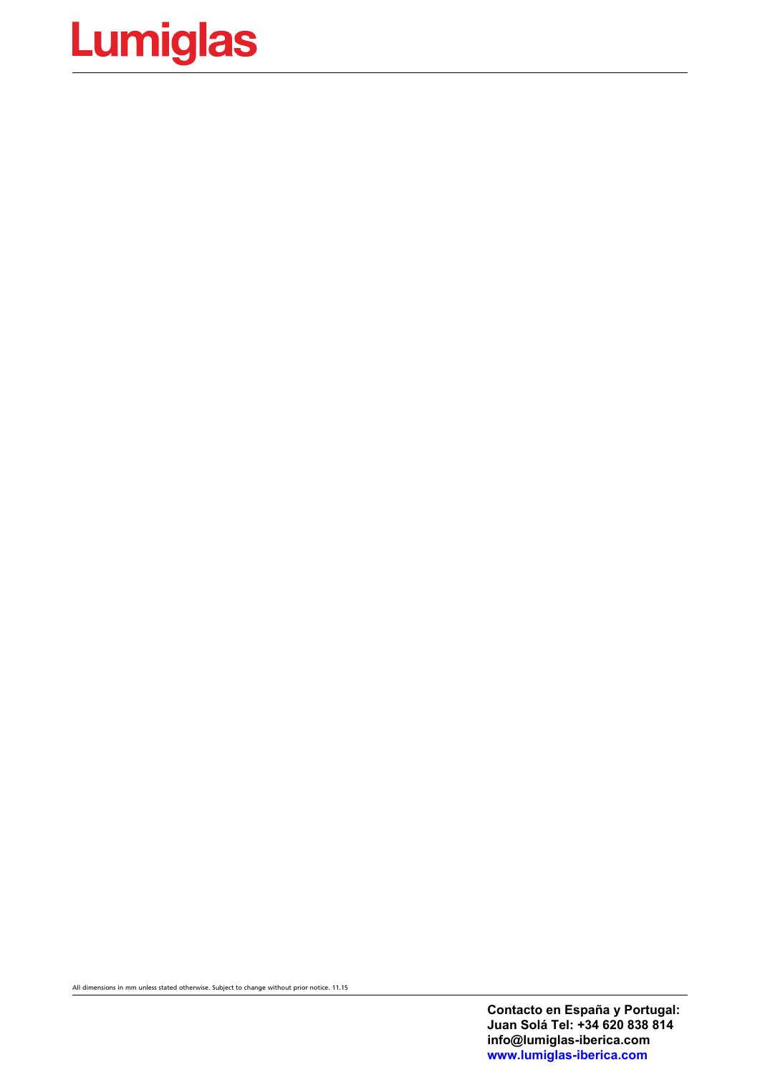# Lumiglas

All dimensions in mm unless stated otherwise. Subject to change without prior notice. 11.15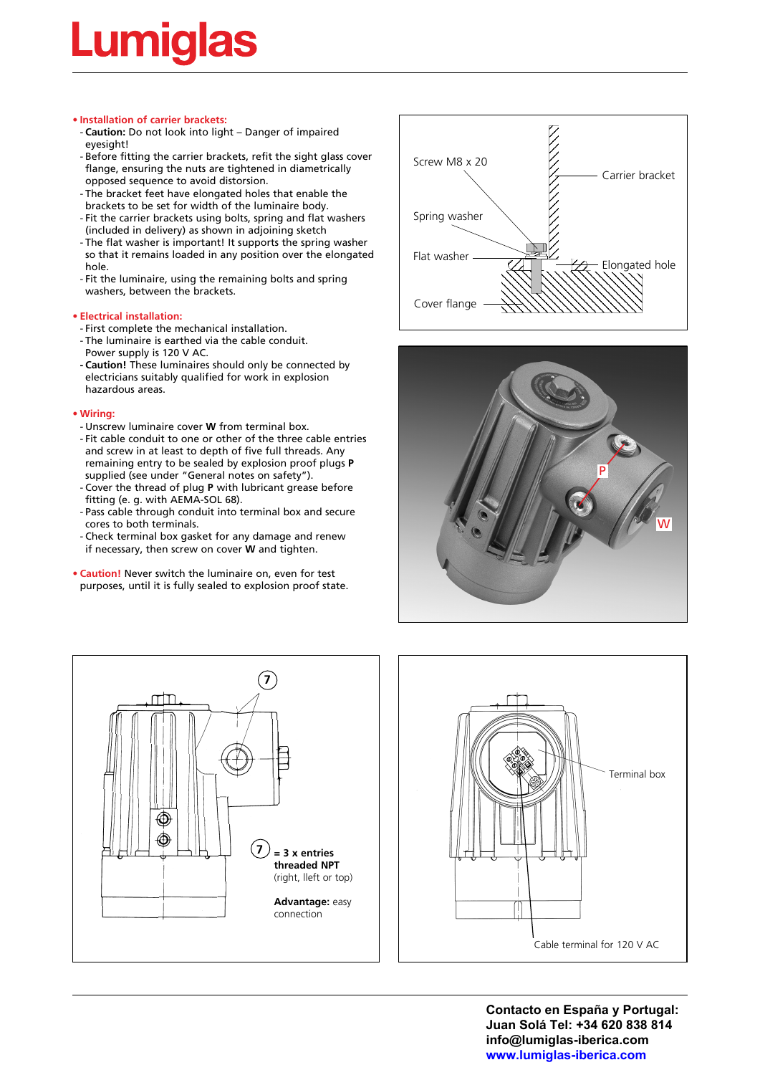# Lumigl

#### **• Installation of carrier brackets:**

- **Caution:** Do not look into light Danger of impaired eyesight!
- Before fitting the carrier brackets, refit the sight glass cover flange, ensuring the nuts are tightened in diametrically opposed sequence to avoid distorsion.
- The bracket feet have elongated holes that enable the brackets to be set for width of the luminaire body.
- Fit the carrier brackets using bolts, spring and flat washers (included in delivery) as shown in adjoining sketch
- The flat washer is important! It supports the spring washer so that it remains loaded in any position over the elongated hole.
- Fit the luminaire, using the remaining bolts and spring washers, between the brackets.

### **• Electrical installation:**

- First complete the mechanical installation.
- The luminaire is earthed via the cable conduit. Power supply is 120 V AC.
- **- Caution!** These luminaires should only be connected by electricians suitably qualified for work in explosion hazardous areas.

### **• Wiring:**

- Unscrew luminaire cover **W** from terminal box.
- Fit cable conduit to one or other of the three cable entries and screw in at least to depth of five full threads. Any remaining entry to be sealed by explosion proof plugs **P** supplied (see under "General notes on safety").
- Cover the thread of plug **P** with lubricant grease before fitting (e. g. with AEMA-SOL 68).
- Pass cable through conduit into terminal box and secure cores to both terminals.
- Check terminal box gasket for any damage and renew if necessary, then screw on cover **W** and tighten.
- **• Caution!** Never switch the luminaire on, even for test purposes, until it is fully sealed to explosion proof state.









**Contacto en España y Portugal: Juan Solá Tel: +34 620 838 814 info@lumiglas-iberica.com www.lumiglas-iberica.com**